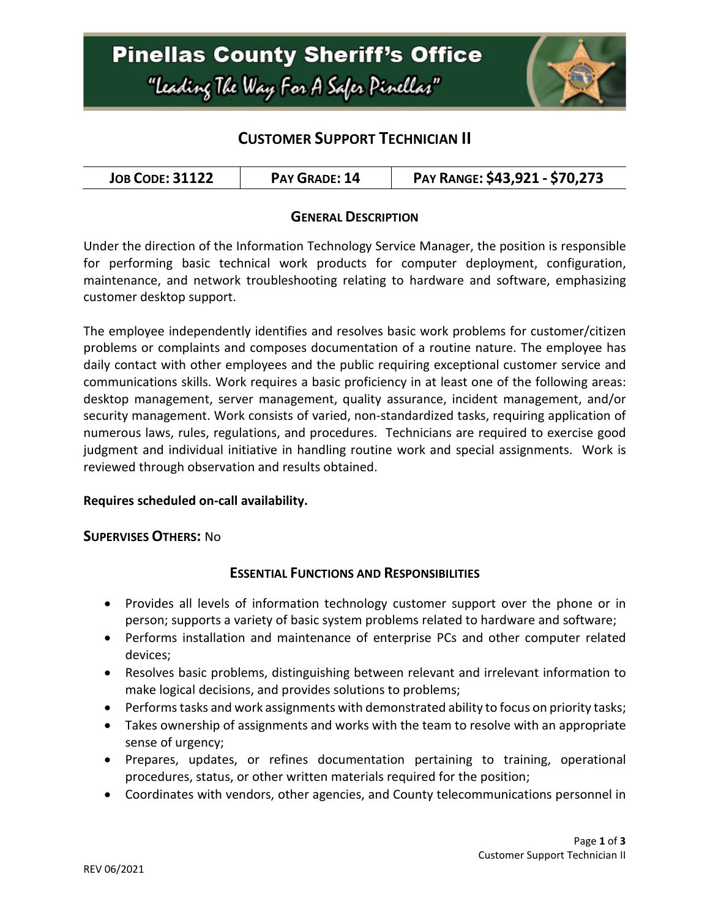

## **CUSTOMER SUPPORT TECHNICIAN II**

| <b>JOB CODE: 31122</b> | PAY GRADE: 14 | PAY RANGE: \$43,921 - \$70,273 |
|------------------------|---------------|--------------------------------|
|------------------------|---------------|--------------------------------|

### **GENERAL DESCRIPTION**

Under the direction of the Information Technology Service Manager, the position is responsible for performing basic technical work products for computer deployment, configuration, maintenance, and network troubleshooting relating to hardware and software, emphasizing customer desktop support.

The employee independently identifies and resolves basic work problems for customer/citizen problems or complaints and composes documentation of a routine nature. The employee has daily contact with other employees and the public requiring exceptional customer service and communications skills. Work requires a basic proficiency in at least one of the following areas: desktop management, server management, quality assurance, incident management, and/or security management. Work consists of varied, non-standardized tasks, requiring application of numerous laws, rules, regulations, and procedures. Technicians are required to exercise good judgment and individual initiative in handling routine work and special assignments. Work is reviewed through observation and results obtained.

#### **Requires scheduled on-call availability.**

#### **SUPERVISES OTHERS:** No

### **ESSENTIAL FUNCTIONS AND RESPONSIBILITIES**

- Provides all levels of information technology customer support over the phone or in person; supports a variety of basic system problems related to hardware and software;
- Performs installation and maintenance of enterprise PCs and other computer related devices;
- Resolves basic problems, distinguishing between relevant and irrelevant information to make logical decisions, and provides solutions to problems;
- Performs tasks and work assignments with demonstrated ability to focus on priority tasks;
- Takes ownership of assignments and works with the team to resolve with an appropriate sense of urgency;
- Prepares, updates, or refines documentation pertaining to training, operational procedures, status, or other written materials required for the position;
- Coordinates with vendors, other agencies, and County telecommunications personnel in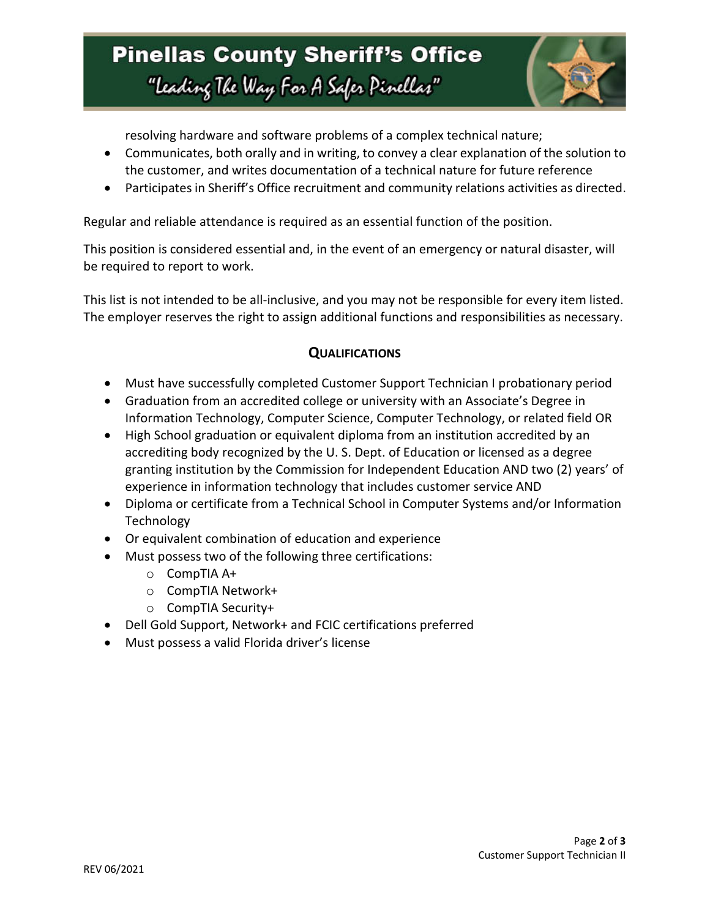# **Pinellas County Sheriff's Office** "Leading The Way For A Safer Pinellar"



resolving hardware and software problems of a complex technical nature;

- Communicates, both orally and in writing, to convey a clear explanation of the solution to the customer, and writes documentation of a technical nature for future reference
- Participates in Sheriff's Office recruitment and community relations activities as directed.

Regular and reliable attendance is required as an essential function of the position.

This position is considered essential and, in the event of an emergency or natural disaster, will be required to report to work.

This list is not intended to be all-inclusive, and you may not be responsible for every item listed. The employer reserves the right to assign additional functions and responsibilities as necessary.

### **QUALIFICATIONS**

- Must have successfully completed Customer Support Technician I probationary period
- Graduation from an accredited college or university with an Associate's Degree in Information Technology, Computer Science, Computer Technology, or related field OR
- High School graduation or equivalent diploma from an institution accredited by an accrediting body recognized by the U. S. Dept. of Education or licensed as a degree granting institution by the Commission for Independent Education AND two (2) years' of experience in information technology that includes customer service AND
- Diploma or certificate from a Technical School in Computer Systems and/or Information Technology
- Or equivalent combination of education and experience
- Must possess two of the following three certifications:
	- o CompTIA A+
	- o CompTIA Network+
	- o CompTIA Security+
- Dell Gold Support, Network+ and FCIC certifications preferred
- Must possess a valid Florida driver's license